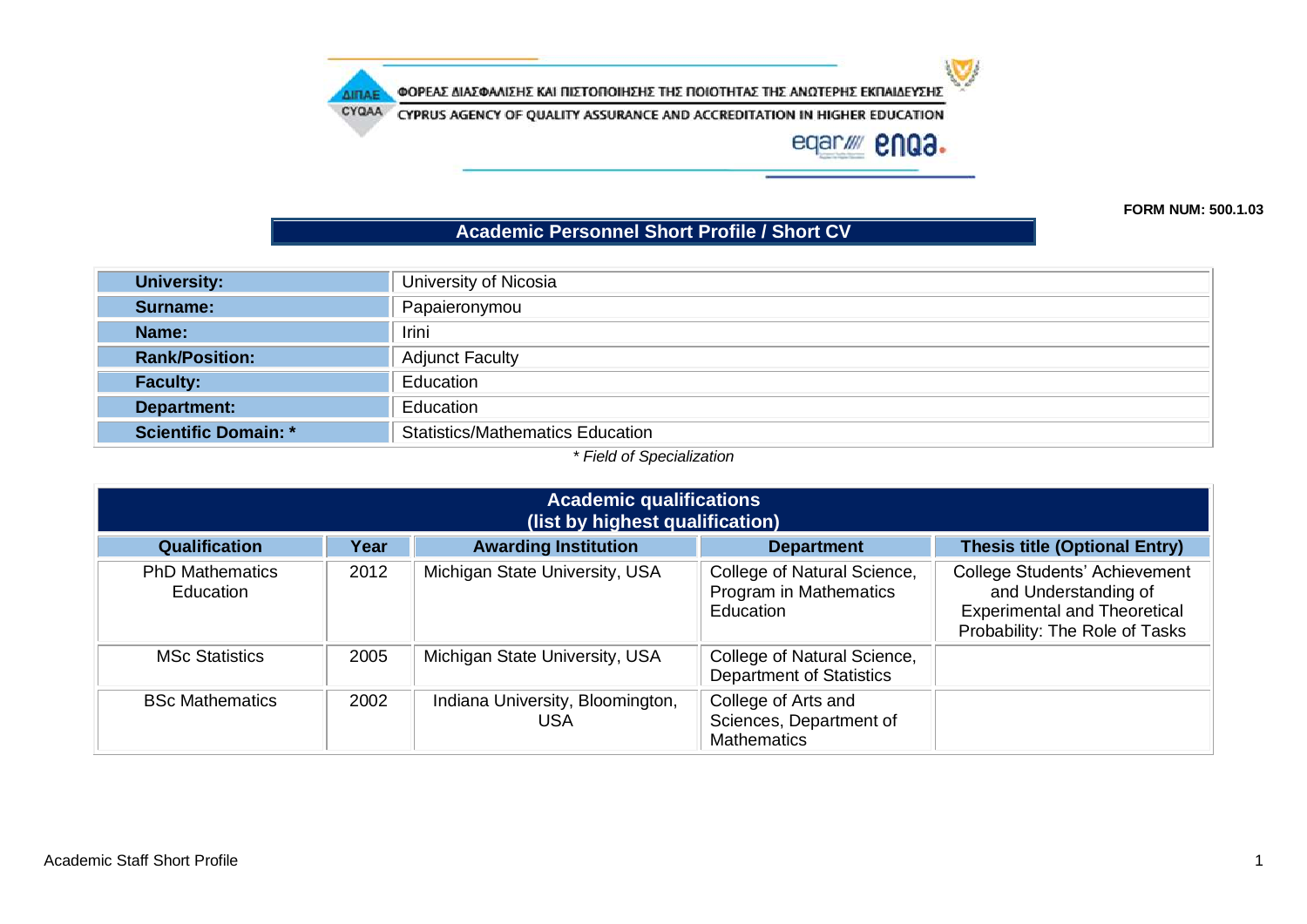$\mathbf{v}$ 

ΦΟΡΕΑΣ ΔΙΑΣΦΑΛΙΣΗΣ ΚΑΙ ΠΙΣΤΟΠΟΙΗΣΗΣ ΤΗΣ ΠΟΙΟΤΗΤΑΣ ΤΗΣ ΑΝΩΤΕΡΗΣ ΕΚΠΑΙΔΕΥΣΗΣ

**AITIAE** 

CYQAA CYPRUS AGENCY OF QUALITY ASSURANCE AND ACCREDITATION IN HIGHER EDUCATION

eqar/ enga.

**FORM NUM: 500.1.03**

## **Academic Personnel Short Profile / Short CV**

| University of Nicosia                   |  |  |
|-----------------------------------------|--|--|
| Papaieronymou                           |  |  |
| <b>Irini</b>                            |  |  |
| <b>Adjunct Faculty</b>                  |  |  |
| Education                               |  |  |
| Education                               |  |  |
| <b>Statistics/Mathematics Education</b> |  |  |
|                                         |  |  |

*\* Field of Specialization*

| <b>Academic qualifications</b><br>(list by highest qualification) |      |                                                |                                                                      |                                                                                                                                |  |
|-------------------------------------------------------------------|------|------------------------------------------------|----------------------------------------------------------------------|--------------------------------------------------------------------------------------------------------------------------------|--|
| <b>Qualification</b>                                              | Year | <b>Awarding Institution</b>                    | <b>Department</b>                                                    | <b>Thesis title (Optional Entry)</b>                                                                                           |  |
| <b>PhD Mathematics</b><br>Education                               | 2012 | Michigan State University, USA                 | College of Natural Science,<br>Program in Mathematics<br>Education   | College Students' Achievement<br>and Understanding of<br><b>Experimental and Theoretical</b><br>Probability: The Role of Tasks |  |
| <b>MSc Statistics</b>                                             | 2005 | Michigan State University, USA                 | College of Natural Science,<br><b>Department of Statistics</b>       |                                                                                                                                |  |
| <b>BSc Mathematics</b>                                            | 2002 | Indiana University, Bloomington,<br><b>USA</b> | College of Arts and<br>Sciences, Department of<br><b>Mathematics</b> |                                                                                                                                |  |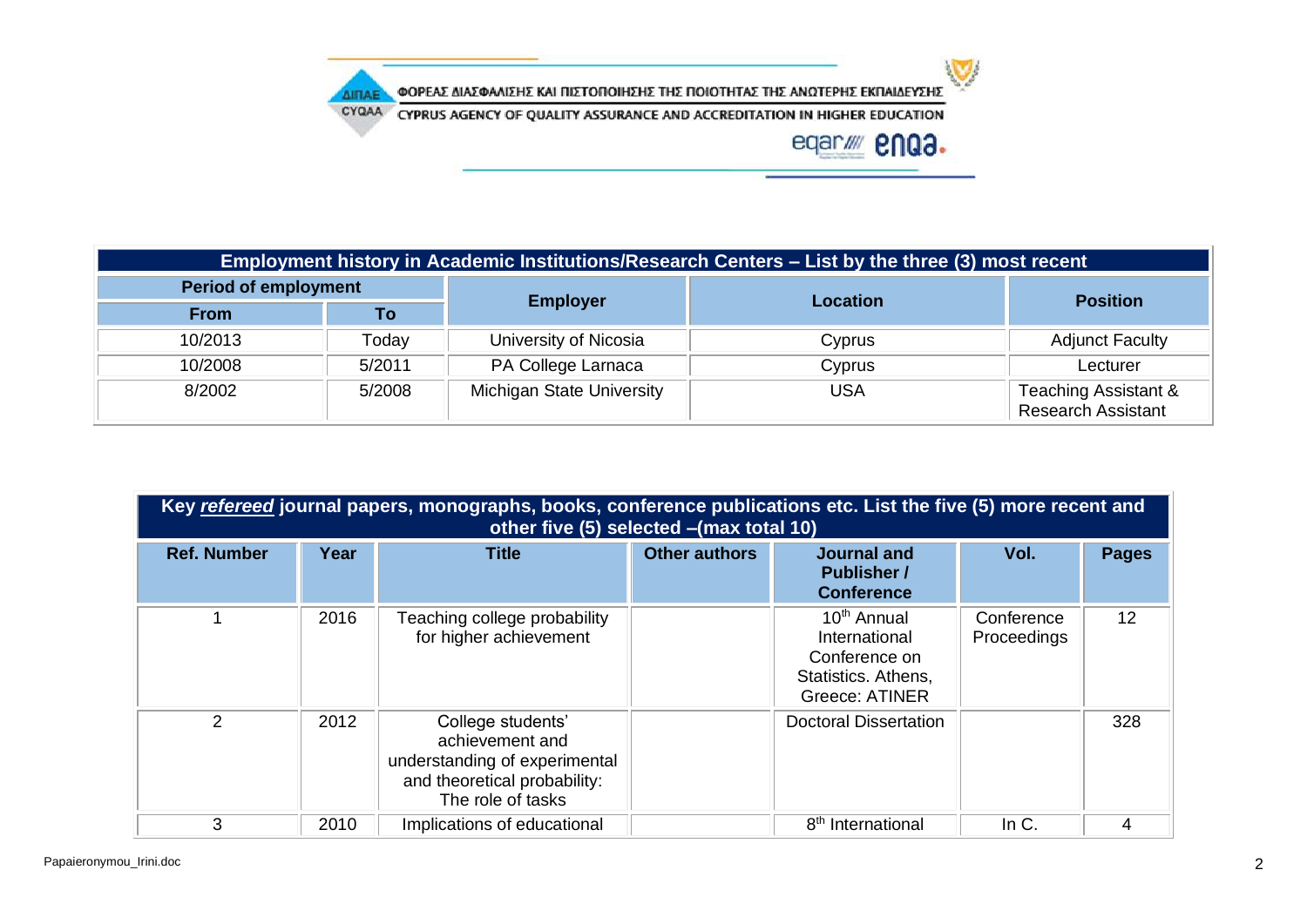ΦΟΡΕΑΣ ΔΙΑΣΦΑΛΙΣΗΣ ΚΑΙ ΠΙΣΤΟΠΟΙΗΣΗΣ ΤΗΣ ΠΟΙΟΤΗΤΑΣ ΤΗΣ ΑΝΩΤΕΡΗΣ ΕΚΠΑΙΔΕΥΣΗΣ

CYQAA CYPRUS AGENCY OF QUALITY ASSURANCE AND ACCREDITATION IN HIGHER EDUCATION

**AITIAE** 



 $\mathbf{U}$ 

| Employment history in Academic Institutions/Research Centers – List by the three (3) most recent |        |                                  |                 |                                                   |  |
|--------------------------------------------------------------------------------------------------|--------|----------------------------------|-----------------|---------------------------------------------------|--|
| <b>Period of employment</b>                                                                      |        |                                  |                 |                                                   |  |
| <b>From</b>                                                                                      | Τo     | <b>Employer</b>                  | <b>Location</b> | <b>Position</b>                                   |  |
| 10/2013                                                                                          | Today  | University of Nicosia            | Cyprus          | <b>Adjunct Faculty</b>                            |  |
| 10/2008                                                                                          | 5/2011 | PA College Larnaca               | Cyprus          | Lecturer                                          |  |
| 8/2002                                                                                           | 5/2008 | <b>Michigan State University</b> | <b>USA</b>      | Teaching Assistant &<br><b>Research Assistant</b> |  |

| Key refereed journal papers, monographs, books, conference publications etc. List the five (5) more recent and<br>other five (5) selected - (max total 10) |      |                                                                                                                            |                      |                                                                                                    |                           |              |
|------------------------------------------------------------------------------------------------------------------------------------------------------------|------|----------------------------------------------------------------------------------------------------------------------------|----------------------|----------------------------------------------------------------------------------------------------|---------------------------|--------------|
| <b>Ref. Number</b>                                                                                                                                         | Year | <b>Title</b>                                                                                                               | <b>Other authors</b> | Journal and<br><b>Publisher /</b><br><b>Conference</b>                                             | Vol.                      | <b>Pages</b> |
|                                                                                                                                                            | 2016 | Teaching college probability<br>for higher achievement                                                                     |                      | 10 <sup>th</sup> Annual<br>International<br>Conference on<br>Statistics. Athens,<br>Greece: ATINER | Conference<br>Proceedings | 12           |
| $\overline{2}$                                                                                                                                             | 2012 | College students'<br>achievement and<br>understanding of experimental<br>and theoretical probability:<br>The role of tasks |                      | <b>Doctoral Dissertation</b>                                                                       |                           | 328          |
| 3                                                                                                                                                          | 2010 | Implications of educational                                                                                                |                      | 8 <sup>th</sup> International                                                                      | In $C$ .                  | 4            |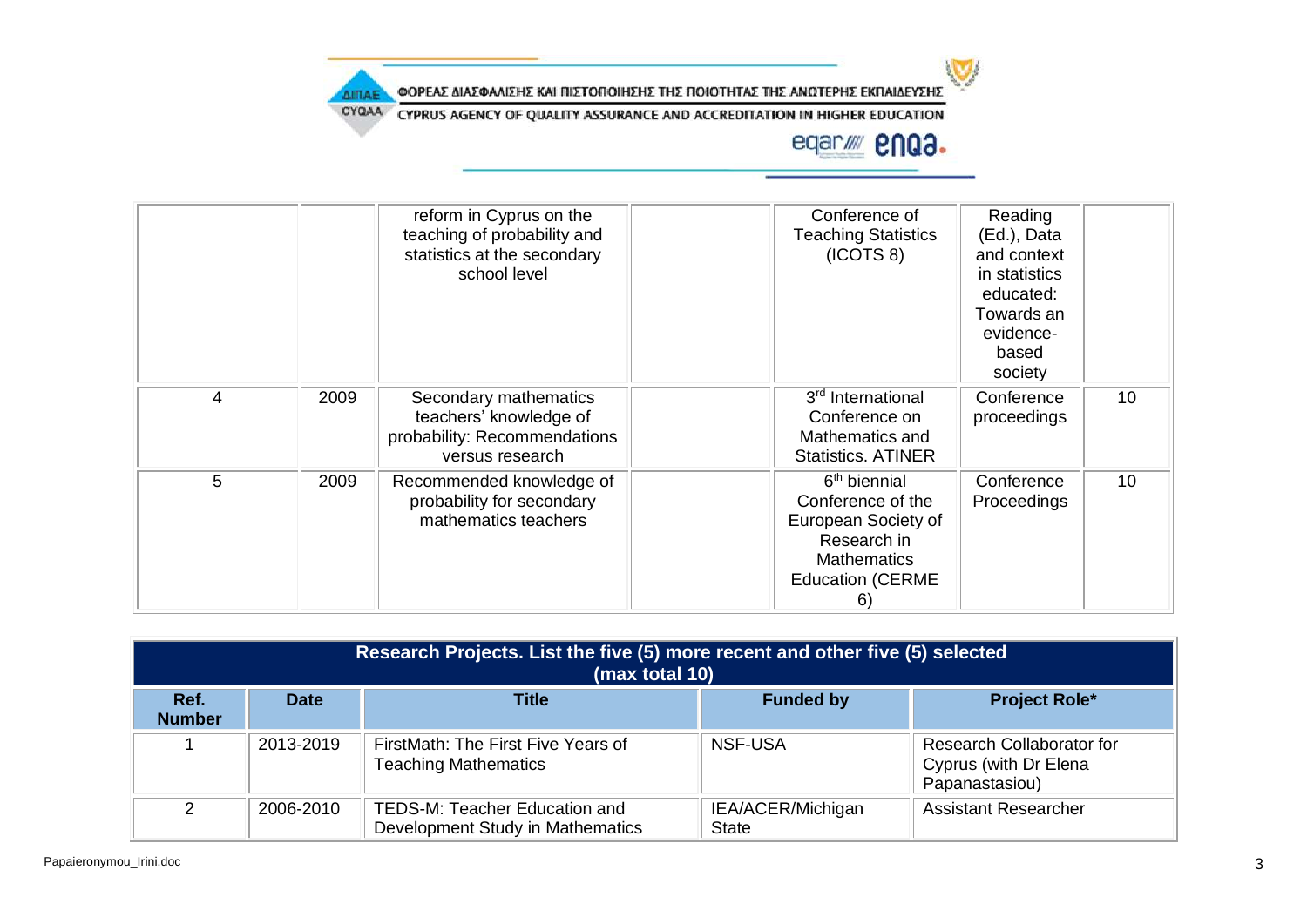

ΦΟΡΕΑΣ ΔΙΑΣΦΑΛΙΣΗΣ ΚΑΙ ΠΙΣΤΟΠΟΙΗΣΗΣ ΤΗΣ ΠΟΙΟΤΗΤΑΣ ΤΗΣ ΑΝΩΤΕΡΗΣ ΕΚΠΑΙΔΕΥΣΗΣ

CYQAA CYPRUS AGENCY OF QUALITY ASSURANCE AND ACCREDITATION IN HIGHER EDUCATION

**AITIAE** 

## eqar/ enua.

|   |      | reform in Cyprus on the<br>teaching of probability and<br>statistics at the secondary<br>school level | Conference of<br><b>Teaching Statistics</b><br>(ICOTS 8)                                                                                   | Reading<br>(Ed.), Data<br>and context<br>in statistics<br>educated:<br>Towards an<br>evidence-<br>based<br>society |    |
|---|------|-------------------------------------------------------------------------------------------------------|--------------------------------------------------------------------------------------------------------------------------------------------|--------------------------------------------------------------------------------------------------------------------|----|
| 4 | 2009 | Secondary mathematics<br>teachers' knowledge of<br>probability: Recommendations<br>versus research    | 3 <sup>rd</sup> International<br>Conference on<br>Mathematics and<br><b>Statistics. ATINER</b>                                             | Conference<br>proceedings                                                                                          | 10 |
| 5 | 2009 | Recommended knowledge of<br>probability for secondary<br>mathematics teachers                         | 6 <sup>th</sup> biennial<br>Conference of the<br>European Society of<br>Research in<br><b>Mathematics</b><br><b>Education (CERME</b><br>6) | Conference<br>Proceedings                                                                                          | 10 |

| Research Projects. List the five (5) more recent and other five (5) selected<br>(max total 10) |             |                                                                   |                                   |                                                                      |  |
|------------------------------------------------------------------------------------------------|-------------|-------------------------------------------------------------------|-----------------------------------|----------------------------------------------------------------------|--|
| Ref.<br><b>Number</b>                                                                          | <b>Date</b> | <b>Title</b>                                                      | <b>Funded by</b>                  | <b>Project Role*</b>                                                 |  |
|                                                                                                | 2013-2019   | FirstMath: The First Five Years of<br><b>Teaching Mathematics</b> | <b>NSF-USA</b>                    | Research Collaborator for<br>Cyprus (with Dr Elena<br>Papanastasiou) |  |
| $\mathcal{D}$                                                                                  | 2006-2010   | TEDS-M: Teacher Education and<br>Development Study in Mathematics | IEA/ACER/Michigan<br><b>State</b> | <b>Assistant Researcher</b>                                          |  |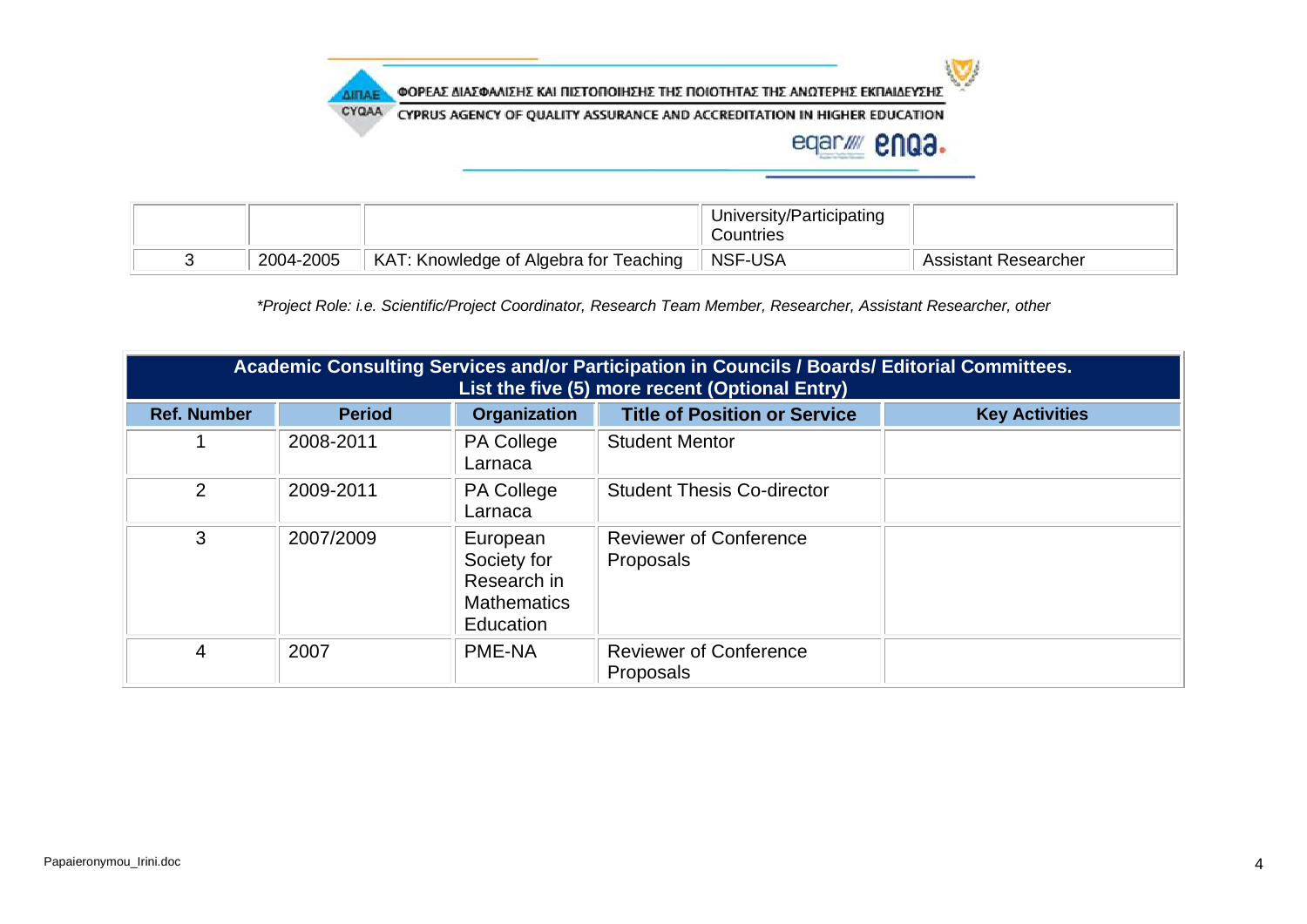

CYQAA CYPRUS AGENCY OF QUALITY ASSURANCE AND ACCREDITATION IN HIGHER EDUCATION

## eqar/ enga.

 $\sum$ 

|           |                                        | University/Participating<br>Countries |                      |
|-----------|----------------------------------------|---------------------------------------|----------------------|
| 2004-2005 | KAT: Knowledge of Algebra for Teaching | NSF-USA                               | Assistant Researcher |

*\*Project Role: i.e. Scientific/Project Coordinator, Research Team Member, Researcher, Assistant Researcher, other*

| Academic Consulting Services and/or Participation in Councils / Boards/ Editorial Committees.<br>List the five (5) more recent (Optional Entry) |               |                                                                           |                                            |                       |
|-------------------------------------------------------------------------------------------------------------------------------------------------|---------------|---------------------------------------------------------------------------|--------------------------------------------|-----------------------|
| <b>Ref. Number</b>                                                                                                                              | <b>Period</b> | <b>Organization</b>                                                       | <b>Title of Position or Service</b>        | <b>Key Activities</b> |
|                                                                                                                                                 | 2008-2011     | <b>PA College</b><br>Larnaca                                              | <b>Student Mentor</b>                      |                       |
| $\mathcal{P}$                                                                                                                                   | 2009-2011     | <b>PA College</b><br>Larnaca                                              | <b>Student Thesis Co-director</b>          |                       |
| 3                                                                                                                                               | 2007/2009     | European<br>Society for<br>Research in<br><b>Mathematics</b><br>Education | <b>Reviewer of Conference</b><br>Proposals |                       |
| 4                                                                                                                                               | 2007          | PME-NA                                                                    | <b>Reviewer of Conference</b><br>Proposals |                       |